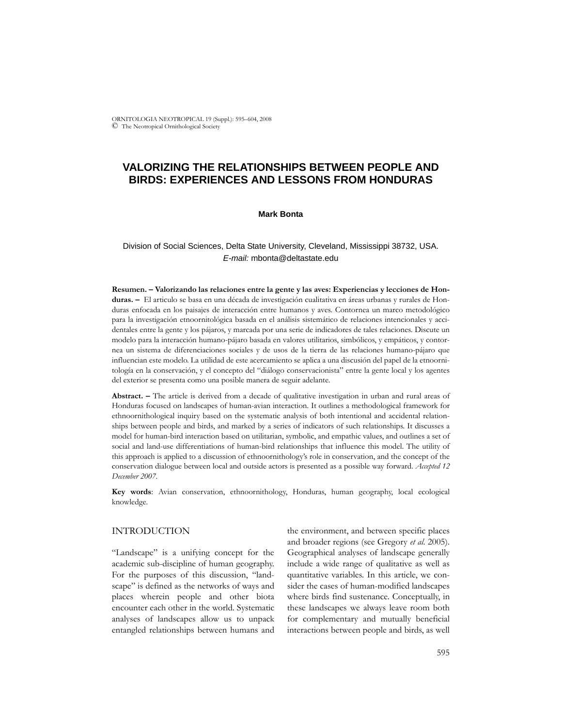ORNITOLOGIA NEOTROPICAL 19 (Suppl.): 595–604, 2008 © The Neotropical Ornithological Society

# **VALORIZING THE RELATIONSHIPS BETWEEN PEOPLE AND BIRDS: EXPERIENCES AND LESSONS FROM HONDURAS**

#### **Mark Bonta**

# Division of Social Sciences, Delta State University, Cleveland, Mississippi 38732, USA. *E-mail:* mbonta@deltastate.edu

**Resumen. – Valorizando las relaciones entre la gente y las aves: Experiencias y lecciones de Honduras. –** El articulo se basa en una década de investigación cualitativa en áreas urbanas y rurales de Honduras enfocada en los paisajes de interacción entre humanos y aves. Contornea un marco metodológico para la investigación etnoornitológica basada en el análisis sistemático de relaciones intencionales y accidentales entre la gente y los pájaros, y marcada por una serie de indicadores de tales relaciones. Discute un modelo para la interacción humano-pájaro basada en valores utilitarios, simbólicos, y empáticos, y contornea un sistema de diferenciaciones sociales y de usos de la tierra de las relaciones humano-pájaro que influencian este modelo. La utilidad de este acercamiento se aplica a una discusión del papel de la etnoornitología en la conservación, y el concepto del "diálogo conservacionista" entre la gente local y los agentes del exterior se presenta como una posible manera de seguir adelante.

**Abstract. –** The article is derived from a decade of qualitative investigation in urban and rural areas of Honduras focused on landscapes of human-avian interaction. It outlines a methodological framework for ethnoornithological inquiry based on the systematic analysis of both intentional and accidental relationships between people and birds, and marked by a series of indicators of such relationships. It discusses a model for human-bird interaction based on utilitarian, symbolic, and empathic values, and outlines a set of social and land-use differentiations of human-bird relationships that influence this model. The utility of this approach is applied to a discussion of ethnoornithology's role in conservation, and the concept of the conservation dialogue between local and outside actors is presented as a possible way forward. *Accepted 12 December 2007*.

**Key words**: Avian conservation, ethnoornithology, Honduras, human geography, local ecological knowledge.

## INTRODUCTION

"Landscape" is a unifying concept for the academic sub-discipline of human geography. For the purposes of this discussion, "landscape" is defined as the networks of ways and places wherein people and other biota encounter each other in the world. Systematic analyses of landscapes allow us to unpack entangled relationships between humans and the environment, and between specific places and broader regions (see Gregory *et al*. 2005). Geographical analyses of landscape generally include a wide range of qualitative as well as quantitative variables. In this article, we consider the cases of human-modified landscapes where birds find sustenance. Conceptually, in these landscapes we always leave room both for complementary and mutually beneficial interactions between people and birds, as well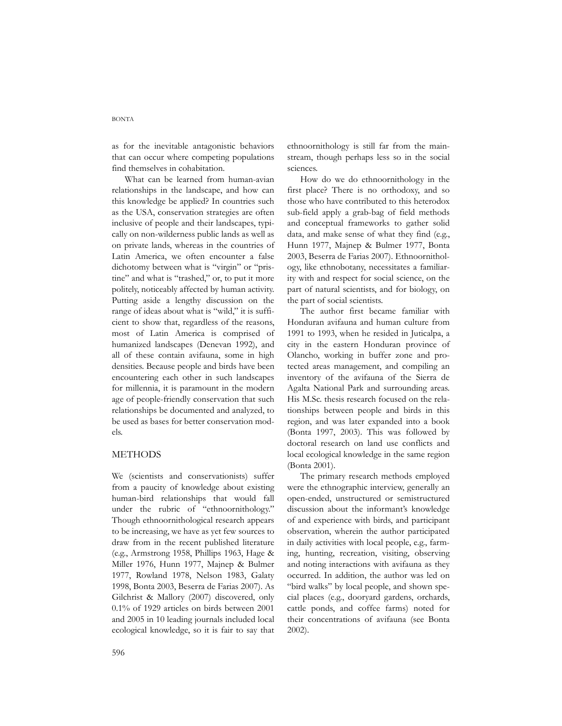#### BONTA

as for the inevitable antagonistic behaviors that can occur where competing populations find themselves in cohabitation.

What can be learned from human-avian relationships in the landscape, and how can this knowledge be applied? In countries such as the USA, conservation strategies are often inclusive of people and their landscapes, typically on non-wilderness public lands as well as on private lands, whereas in the countries of Latin America, we often encounter a false dichotomy between what is "virgin" or "pristine" and what is "trashed," or, to put it more politely, noticeably affected by human activity. Putting aside a lengthy discussion on the range of ideas about what is "wild," it is sufficient to show that, regardless of the reasons, most of Latin America is comprised of humanized landscapes (Denevan 1992), and all of these contain avifauna, some in high densities. Because people and birds have been encountering each other in such landscapes for millennia, it is paramount in the modern age of people-friendly conservation that such relationships be documented and analyzed, to be used as bases for better conservation models.

#### METHODS

We (scientists and conservationists) suffer from a paucity of knowledge about existing human-bird relationships that would fall under the rubric of "ethnoornithology." Though ethnoornithological research appears to be increasing, we have as yet few sources to draw from in the recent published literature (e.g., Armstrong 1958, Phillips 1963, Hage & Miller 1976, Hunn 1977, Majnep & Bulmer 1977, Rowland 1978, Nelson 1983, Galaty 1998, Bonta 2003, Beserra de Farias 2007). As Gilchrist & Mallory (2007) discovered, only 0.1% of 1929 articles on birds between 2001 and 2005 in 10 leading journals included local ecological knowledge, so it is fair to say that

ethnoornithology is still far from the mainstream, though perhaps less so in the social sciences.

How do we do ethnoornithology in the first place? There is no orthodoxy, and so those who have contributed to this heterodox sub-field apply a grab-bag of field methods and conceptual frameworks to gather solid data, and make sense of what they find (e.g., Hunn 1977, Majnep & Bulmer 1977, Bonta 2003, Beserra de Farias 2007). Ethnoornithology, like ethnobotany, necessitates a familiarity with and respect for social science, on the part of natural scientists, and for biology, on the part of social scientists.

The author first became familiar with Honduran avifauna and human culture from 1991 to 1993, when he resided in Juticalpa, a city in the eastern Honduran province of Olancho, working in buffer zone and protected areas management, and compiling an inventory of the avifauna of the Sierra de Agalta National Park and surrounding areas. His M.Sc. thesis research focused on the relationships between people and birds in this region, and was later expanded into a book (Bonta 1997, 2003). This was followed by doctoral research on land use conflicts and local ecological knowledge in the same region (Bonta 2001).

The primary research methods employed were the ethnographic interview, generally an open-ended, unstructured or semistructured discussion about the informant's knowledge of and experience with birds, and participant observation, wherein the author participated in daily activities with local people, e.g., farming, hunting, recreation, visiting, observing and noting interactions with avifauna as they occurred. In addition, the author was led on "bird walks" by local people, and shown special places (e.g., dooryard gardens, orchards, cattle ponds, and coffee farms) noted for their concentrations of avifauna (see Bonta 2002).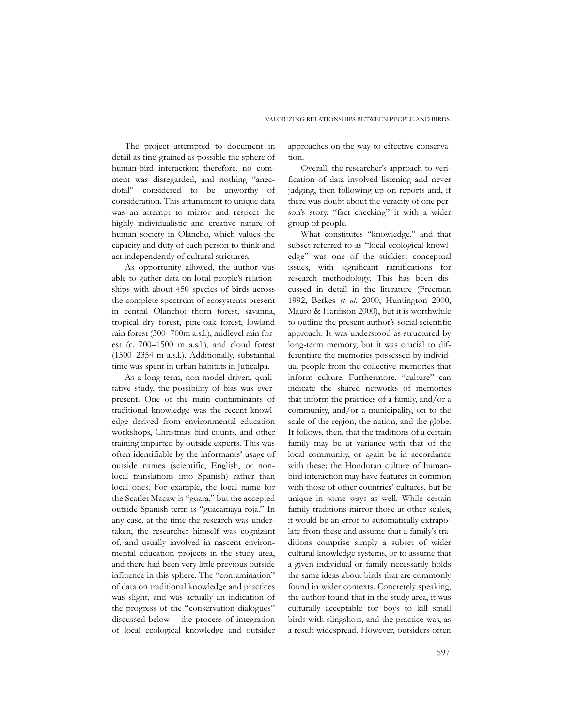The project attempted to document in detail as fine-grained as possible the sphere of human-bird interaction; therefore, no comment was disregarded, and nothing "anecdotal" considered to be unworthy of consideration. This attunement to unique data was an attempt to mirror and respect the highly individualistic and creative nature of human society in Olancho, which values the capacity and duty of each person to think and act independently of cultural strictures.

As opportunity allowed, the author was able to gather data on local people's relationships with about 450 species of birds across the complete spectrum of ecosystems present in central Olancho: thorn forest, savanna, tropical dry forest, pine-oak forest, lowland rain forest (300–700m a.s.l.), midlevel rain forest (c. 700–1500 m a.s.l.), and cloud forest (1500–2354 m a.s.l.). Additionally, substantial time was spent in urban habitats in Juticalpa.

As a long-term, non-model-driven, qualitative study, the possibility of bias was everpresent. One of the main contaminants of traditional knowledge was the recent knowledge derived from environmental education workshops, Christmas bird counts, and other training imparted by outside experts. This was often identifiable by the informants' usage of outside names (scientific, English, or nonlocal translations into Spanish) rather than local ones. For example, the local name for the Scarlet Macaw is "guara," but the accepted outside Spanish term is "guacamaya roja." In any case, at the time the research was undertaken, the researcher himself was cognizant of, and usually involved in nascent environmental education projects in the study area, and there had been very little previous outside influence in this sphere. The "contamination" of data on traditional knowledge and practices was slight, and was actually an indication of the progress of the "conservation dialogues" discussed below – the process of integration of local ecological knowledge and outsider

approaches on the way to effective conservation.

Overall, the researcher's approach to verification of data involved listening and never judging, then following up on reports and, if there was doubt about the veracity of one person's story, "fact checking" it with a wider group of people.

What constitutes "knowledge," and that subset referred to as "local ecological knowledge" was one of the stickiest conceptual issues, with significant ramifications for research methodology. This has been discussed in detail in the literature (Freeman 1992, Berkes *et al*. 2000, Huntington 2000, Mauro & Hardison 2000), but it is worthwhile to outline the present author's social scientific approach. It was understood as structured by long-term memory, but it was crucial to differentiate the memories possessed by individual people from the collective memories that inform culture. Furthermore, "culture" can indicate the shared networks of memories that inform the practices of a family, and/or a community, and/or a municipality, on to the scale of the region, the nation, and the globe. It follows, then, that the traditions of a certain family may be at variance with that of the local community, or again be in accordance with these; the Honduran culture of humanbird interaction may have features in common with those of other countries' cultures, but be unique in some ways as well. While certain family traditions mirror those at other scales, it would be an error to automatically extrapolate from these and assume that a family's traditions comprise simply a subset of wider cultural knowledge systems, or to assume that a given individual or family necessarily holds the same ideas about birds that are commonly found in wider contexts. Concretely speaking, the author found that in the study area, it was culturally acceptable for boys to kill small birds with slingshots, and the practice was, as a result widespread. However, outsiders often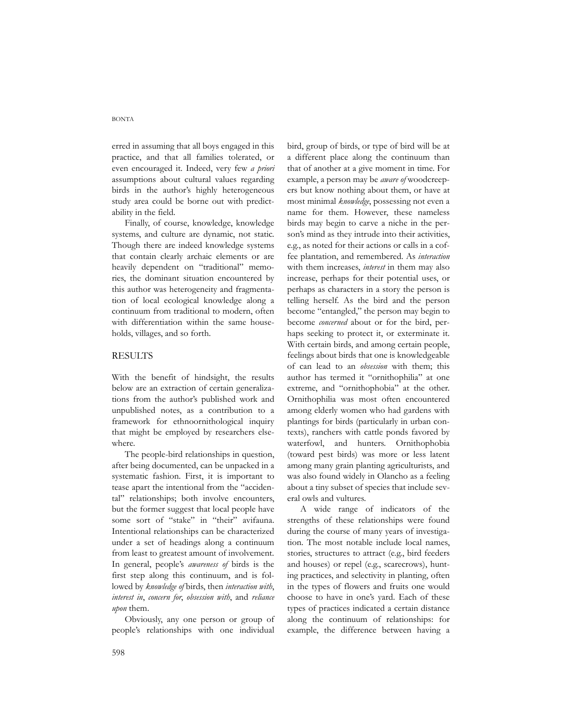erred in assuming that all boys engaged in this practice, and that all families tolerated, or even encouraged it. Indeed, very few *a priori* assumptions about cultural values regarding birds in the author's highly heterogeneous study area could be borne out with predictability in the field.

Finally, of course, knowledge, knowledge systems, and culture are dynamic, not static. Though there are indeed knowledge systems that contain clearly archaic elements or are heavily dependent on "traditional" memories, the dominant situation encountered by this author was heterogeneity and fragmentation of local ecological knowledge along a continuum from traditional to modern, often with differentiation within the same households, villages, and so forth.

# RESULTS

With the benefit of hindsight, the results below are an extraction of certain generalizations from the author's published work and unpublished notes, as a contribution to a framework for ethnoornithological inquiry that might be employed by researchers elsewhere.

The people-bird relationships in question, after being documented, can be unpacked in a systematic fashion. First, it is important to tease apart the intentional from the "accidental" relationships; both involve encounters, but the former suggest that local people have some sort of "stake" in "their" avifauna. Intentional relationships can be characterized under a set of headings along a continuum from least to greatest amount of involvement. In general, people's *awareness of* birds is the first step along this continuum, and is followed by *knowledge of* birds, then *interaction with*, *interest in*, *concern for*, *obsession with*, and *reliance upon* them.

Obviously, any one person or group of people's relationships with one individual

bird, group of birds, or type of bird will be at a different place along the continuum than that of another at a give moment in time. For example, a person may be *aware of* woodcreepers but know nothing about them, or have at most minimal *knowledge*, possessing not even a name for them. However, these nameless birds may begin to carve a niche in the person's mind as they intrude into their activities, e.g., as noted for their actions or calls in a coffee plantation, and remembered. As *interaction* with them increases, *interest* in them may also increase, perhaps for their potential uses, or perhaps as characters in a story the person is telling herself. As the bird and the person become "entangled," the person may begin to become *concerned* about or for the bird, perhaps seeking to protect it, or exterminate it. With certain birds, and among certain people, feelings about birds that one is knowledgeable of can lead to an *obsession* with them; this author has termed it "ornithophilia" at one extreme, and "ornithophobia" at the other. Ornithophilia was most often encountered among elderly women who had gardens with plantings for birds (particularly in urban contexts), ranchers with cattle ponds favored by waterfowl, and hunters. Ornithophobia (toward pest birds) was more or less latent among many grain planting agriculturists, and was also found widely in Olancho as a feeling about a tiny subset of species that include several owls and vultures.

A wide range of indicators of the strengths of these relationships were found during the course of many years of investigation. The most notable include local names, stories, structures to attract (e.g., bird feeders and houses) or repel (e.g., scarecrows), hunting practices, and selectivity in planting, often in the types of flowers and fruits one would choose to have in one's yard. Each of these types of practices indicated a certain distance along the continuum of relationships: for example, the difference between having a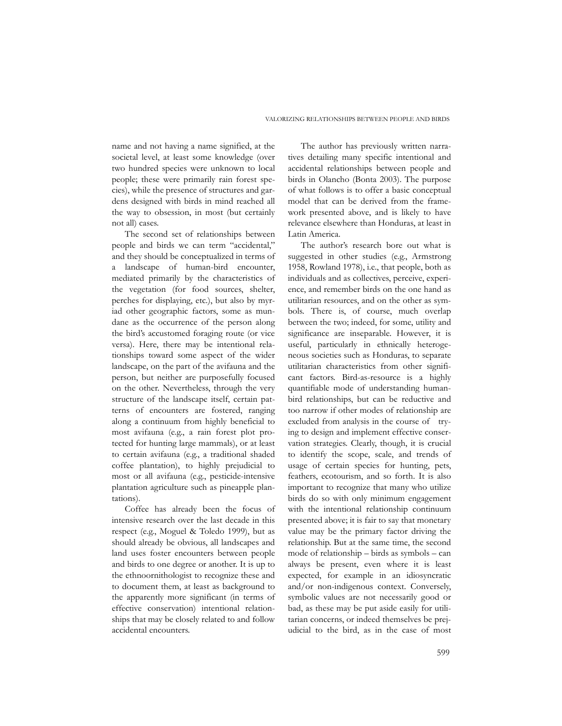name and not having a name signified, at the societal level, at least some knowledge (over two hundred species were unknown to local people; these were primarily rain forest species), while the presence of structures and gardens designed with birds in mind reached all the way to obsession, in most (but certainly not all) cases.

The second set of relationships between people and birds we can term "accidental," and they should be conceptualized in terms of a landscape of human-bird encounter, mediated primarily by the characteristics of the vegetation (for food sources, shelter, perches for displaying, etc.), but also by myriad other geographic factors, some as mundane as the occurrence of the person along the bird's accustomed foraging route (or vice versa). Here, there may be intentional relationships toward some aspect of the wider landscape, on the part of the avifauna and the person, but neither are purposefully focused on the other. Nevertheless, through the very structure of the landscape itself, certain patterns of encounters are fostered, ranging along a continuum from highly beneficial to most avifauna (e.g., a rain forest plot protected for hunting large mammals), or at least to certain avifauna (e.g., a traditional shaded coffee plantation), to highly prejudicial to most or all avifauna (e.g., pesticide-intensive plantation agriculture such as pineapple plantations).

Coffee has already been the focus of intensive research over the last decade in this respect (e.g., Moguel & Toledo 1999), but as should already be obvious, all landscapes and land uses foster encounters between people and birds to one degree or another. It is up to the ethnoornithologist to recognize these and to document them, at least as background to the apparently more significant (in terms of effective conservation) intentional relationships that may be closely related to and follow accidental encounters.

The author has previously written narratives detailing many specific intentional and accidental relationships between people and birds in Olancho (Bonta 2003). The purpose of what follows is to offer a basic conceptual model that can be derived from the framework presented above, and is likely to have relevance elsewhere than Honduras, at least in Latin America.

The author's research bore out what is suggested in other studies (e.g., Armstrong 1958, Rowland 1978), i.e., that people, both as individuals and as collectives, perceive, experience, and remember birds on the one hand as utilitarian resources, and on the other as symbols. There is, of course, much overlap between the two; indeed, for some, utility and significance are inseparable. However, it is useful, particularly in ethnically heterogeneous societies such as Honduras, to separate utilitarian characteristics from other significant factors. Bird-as-resource is a highly quantifiable mode of understanding humanbird relationships, but can be reductive and too narrow if other modes of relationship are excluded from analysis in the course of trying to design and implement effective conservation strategies. Clearly, though, it is crucial to identify the scope, scale, and trends of usage of certain species for hunting, pets, feathers, ecotourism, and so forth. It is also important to recognize that many who utilize birds do so with only minimum engagement with the intentional relationship continuum presented above; it is fair to say that monetary value may be the primary factor driving the relationship. But at the same time, the second mode of relationship – birds as symbols – can always be present, even where it is least expected, for example in an idiosyncratic and/or non-indigenous context. Conversely, symbolic values are not necessarily good or bad, as these may be put aside easily for utilitarian concerns, or indeed themselves be prejudicial to the bird, as in the case of most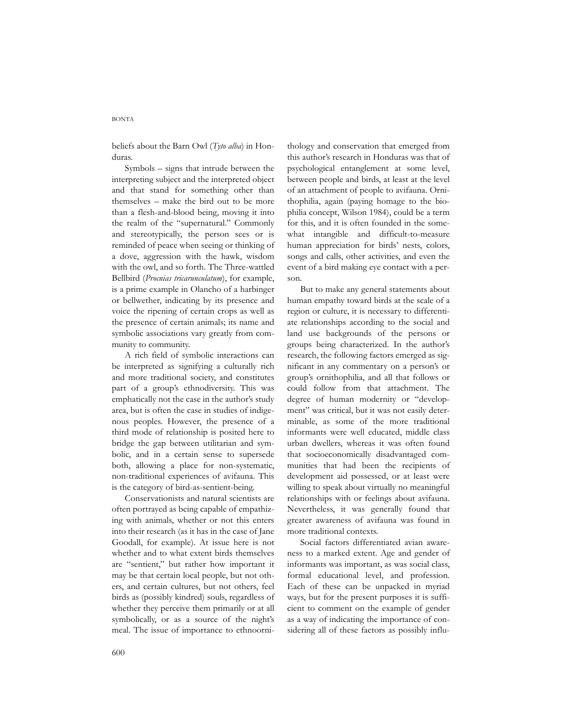#### **BONTA**

beliefs about the Barn Owl (*Tyto alba*) in Honduras.

Symbols – signs that intrude between the interpreting subject and the interpreted object and that stand for something other than themselves – make the bird out to be more than a flesh-and-blood being, moving it into the realm of the "supernatural." Commonly and stereotypically, the person sees or is reminded of peace when seeing or thinking of a dove, aggression with the hawk, wisdom with the owl, and so forth. The Three-wattled Bellbird (*Procnias tricarunculatum*), for example, is a prime example in Olancho of a harbinger or bellwether, indicating by its presence and voice the ripening of certain crops as well as the presence of certain animals; its name and symbolic associations vary greatly from community to community.

A rich field of symbolic interactions can be interpreted as signifying a culturally rich and more traditional society, and constitutes part of a group's ethnodiversity. This was emphatically not the case in the author's study area, but is often the case in studies of indigenous peoples. However, the presence of a third mode of relationship is posited here to bridge the gap between utilitarian and symbolic, and in a certain sense to supersede both, allowing a place for non-systematic, non-traditional experiences of avifauna. This is the category of bird-as-sentient-being.

Conservationists and natural scientists are often portrayed as being capable of empathizing with animals, whether or not this enters into their research (as it has in the case of Jane Goodall, for example). At issue here is not whether and to what extent birds themselves are "sentient," but rather how important it may be that certain local people, but not others, and certain cultures, but not others, feel birds as (possibly kindred) souls, regardless of whether they perceive them primarily or at all symbolically, or as a source of the night's meal. The issue of importance to ethnoornithology and conservation that emerged from this author's research in Honduras was that of psychological entanglement at some level, between people and birds, at least at the level of an attachment of people to avifauna. Ornithophilia, again (paying homage to the biophilia concept, Wilson 1984), could be a term for this, and it is often founded in the somewhat intangible and difficult-to-measure human appreciation for birds' nests, colors, songs and calls, other activities, and even the event of a bird making eye contact with a person.

But to make any general statements about human empathy toward birds at the scale of a region or culture, it is necessary to differentiate relationships according to the social and land use backgrounds of the persons or groups being characterized. In the author's research, the following factors emerged as significant in any commentary on a person's or group's ornithophilia, and all that follows or could follow from that attachment. The degree of human modernity or "development" was critical, but it was not easily determinable, as some of the more traditional informants were well educated, middle class urban dwellers, whereas it was often found that socioeconomically disadvantaged communities that had been the recipients of development aid possessed, or at least were willing to speak about virtually no meaningful relationships with or feelings about avifauna. Nevertheless, it was generally found that greater awareness of avifauna was found in more traditional contexts.

Social factors differentiated avian awareness to a marked extent. Age and gender of informants was important, as was social class, formal educational level, and profession. Each of these can be unpacked in myriad ways, but for the present purposes it is sufficient to comment on the example of gender as a way of indicating the importance of considering all of these factors as possibly influ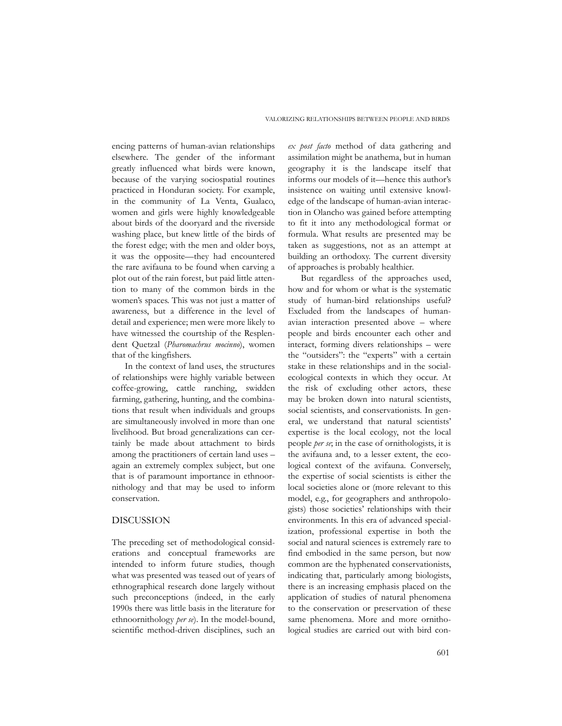encing patterns of human-avian relationships elsewhere. The gender of the informant greatly influenced what birds were known, because of the varying sociospatial routines practiced in Honduran society. For example, in the community of La Venta, Gualaco, women and girls were highly knowledgeable about birds of the dooryard and the riverside washing place, but knew little of the birds of the forest edge; with the men and older boys, it was the opposite—they had encountered the rare avifauna to be found when carving a plot out of the rain forest, but paid little attention to many of the common birds in the women's spaces. This was not just a matter of awareness, but a difference in the level of detail and experience; men were more likely to have witnessed the courtship of the Resplendent Quetzal (*Pharomachrus mocinno*), women that of the kingfishers.

In the context of land uses, the structures of relationships were highly variable between coffee-growing, cattle ranching, swidden farming, gathering, hunting, and the combinations that result when individuals and groups are simultaneously involved in more than one livelihood. But broad generalizations can certainly be made about attachment to birds among the practitioners of certain land uses – again an extremely complex subject, but one that is of paramount importance in ethnoornithology and that may be used to inform conservation.

# DISCUSSION

The preceding set of methodological considerations and conceptual frameworks are intended to inform future studies, though what was presented was teased out of years of ethnographical research done largely without such preconceptions (indeed, in the early 1990s there was little basis in the literature for ethnoornithology *per se*). In the model-bound, scientific method-driven disciplines, such an

*ex post facto* method of data gathering and assimilation might be anathema, but in human geography it is the landscape itself that informs our models of it—hence this author's insistence on waiting until extensive knowledge of the landscape of human-avian interaction in Olancho was gained before attempting to fit it into any methodological format or formula. What results are presented may be taken as suggestions, not as an attempt at building an orthodoxy. The current diversity of approaches is probably healthier.

But regardless of the approaches used, how and for whom or what is the systematic study of human-bird relationships useful? Excluded from the landscapes of humanavian interaction presented above – where people and birds encounter each other and interact, forming divers relationships – were the "outsiders": the "experts" with a certain stake in these relationships and in the socialecological contexts in which they occur. At the risk of excluding other actors, these may be broken down into natural scientists, social scientists, and conservationists. In general, we understand that natural scientists' expertise is the local ecology, not the local people *per se*; in the case of ornithologists, it is the avifauna and, to a lesser extent, the ecological context of the avifauna. Conversely, the expertise of social scientists is either the local societies alone or (more relevant to this model, e.g., for geographers and anthropologists) those societies' relationships with their environments. In this era of advanced specialization, professional expertise in both the social and natural sciences is extremely rare to find embodied in the same person, but now common are the hyphenated conservationists, indicating that, particularly among biologists, there is an increasing emphasis placed on the application of studies of natural phenomena to the conservation or preservation of these same phenomena. More and more ornithological studies are carried out with bird con-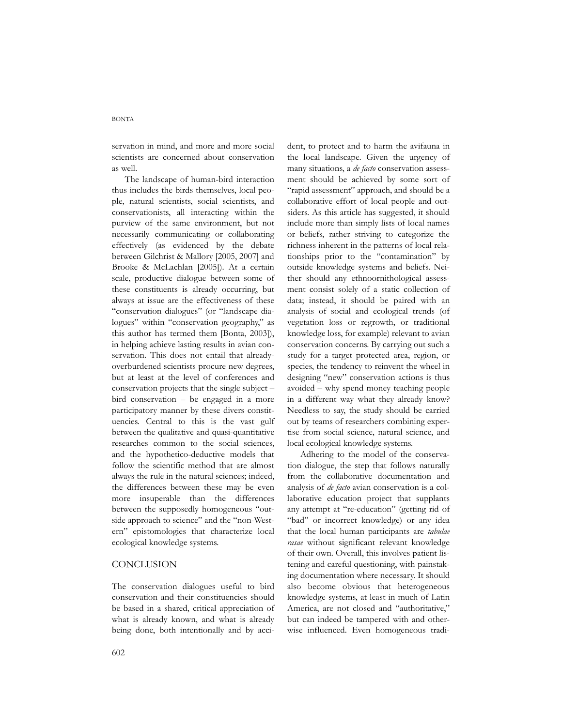#### BONTA

servation in mind, and more and more social scientists are concerned about conservation as well.

The landscape of human-bird interaction thus includes the birds themselves, local people, natural scientists, social scientists, and conservationists, all interacting within the purview of the same environment, but not necessarily communicating or collaborating effectively (as evidenced by the debate between Gilchrist & Mallory [2005, 2007] and Brooke & McLachlan [2005]). At a certain scale, productive dialogue between some of these constituents is already occurring, but always at issue are the effectiveness of these "conservation dialogues" (or "landscape dialogues" within "conservation geography," as this author has termed them [Bonta, 2003]), in helping achieve lasting results in avian conservation. This does not entail that alreadyoverburdened scientists procure new degrees, but at least at the level of conferences and conservation projects that the single subject – bird conservation – be engaged in a more participatory manner by these divers constituencies. Central to this is the vast gulf between the qualitative and quasi-quantitative researches common to the social sciences, and the hypothetico-deductive models that follow the scientific method that are almost always the rule in the natural sciences; indeed, the differences between these may be even more insuperable than the differences between the supposedly homogeneous "outside approach to science" and the "non-Western" epistomologies that characterize local ecological knowledge systems.

# **CONCLUSION**

The conservation dialogues useful to bird conservation and their constituencies should be based in a shared, critical appreciation of what is already known, and what is already being done, both intentionally and by accident, to protect and to harm the avifauna in the local landscape. Given the urgency of many situations, a *de facto* conservation assessment should be achieved by some sort of "rapid assessment" approach, and should be a collaborative effort of local people and outsiders. As this article has suggested, it should include more than simply lists of local names or beliefs, rather striving to categorize the richness inherent in the patterns of local relationships prior to the "contamination" by outside knowledge systems and beliefs. Neither should any ethnoornithological assessment consist solely of a static collection of data; instead, it should be paired with an analysis of social and ecological trends (of vegetation loss or regrowth, or traditional knowledge loss, for example) relevant to avian conservation concerns. By carrying out such a study for a target protected area, region, or species, the tendency to reinvent the wheel in designing "new" conservation actions is thus avoided – why spend money teaching people in a different way what they already know? Needless to say, the study should be carried out by teams of researchers combining expertise from social science, natural science, and local ecological knowledge systems.

Adhering to the model of the conservation dialogue, the step that follows naturally from the collaborative documentation and analysis of *de facto* avian conservation is a collaborative education project that supplants any attempt at "re-education" (getting rid of "bad" or incorrect knowledge) or any idea that the local human participants are *tabulae rasae* without significant relevant knowledge of their own. Overall, this involves patient listening and careful questioning, with painstaking documentation where necessary. It should also become obvious that heterogeneous knowledge systems, at least in much of Latin America, are not closed and "authoritative," but can indeed be tampered with and otherwise influenced. Even homogeneous tradi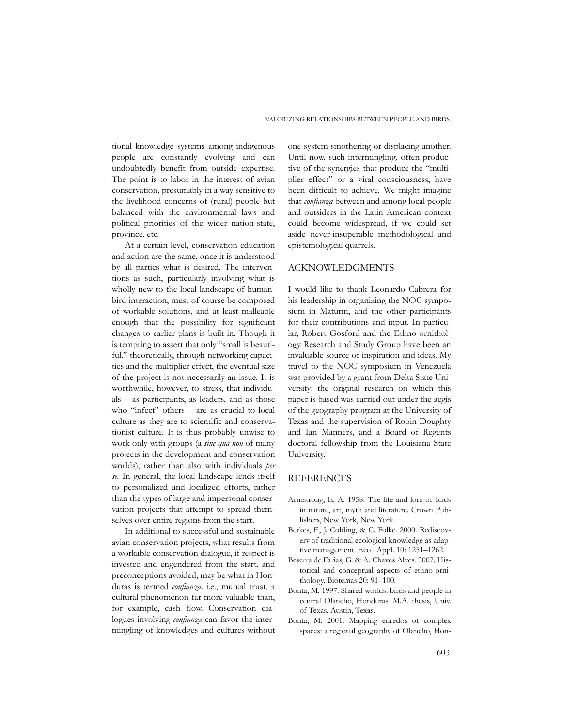tional knowledge systems among indigenous people are constantly evolving and can undoubtedly benefit from outside expertise. The point is to labor in the interest of avian conservation, presumably in a way sensitive to the livelihood concerns of (rural) people but balanced with the environmental laws and political priorities of the wider nation-state, province, etc.

At a certain level, conservation education and action are the same, once it is understood by all parties what is desired. The interventions as such, particularly involving what is wholly new to the local landscape of humanbird interaction, must of course be composed of workable solutions, and at least malleable enough that the possibility for significant changes to earlier plans is built in. Though it is tempting to assert that only "small is beautiful," theoretically, through networking capacities and the multiplier effect, the eventual size of the project is not necessarily an issue. It is worthwhile, however, to stress, that individuals – as participants, as leaders, and as those who "infect" others – are as crucial to local culture as they are to scientific and conservationist culture. It is thus probably unwise to work only with groups (a *sine qua non* of many projects in the development and conservation worlds), rather than also with individuals *per se*. In general, the local landscape lends itself to personalized and localized efforts, rather than the types of large and impersonal conservation projects that attempt to spread themselves over entire regions from the start.

In additional to successful and sustainable avian conservation projects, what results from a workable conservation dialogue, if respect is invested and engendered from the start, and preconceptions avoided, may be what in Honduras is termed *confianza,* i.e., mutual trust, a cultural phenomenon far more valuable than, for example, cash flow. Conservation dialogues involving *confianza* can favor the intermingling of knowledges and cultures without

one system smothering or displacing another. Until now, such intermingling, often productive of the synergies that produce the "multiplier effect" or a viral consciousness, have been difficult to achieve. We might imagine that *confianza* between and among local people and outsiders in the Latin American context could become widespread, if we could set aside never-insuperable methodological and epistemological quarrels.

### ACKNOWLEDGMENTS

I would like to thank Leonardo Cabrera for his leadership in organizing the NOC symposium in Maturín, and the other participants for their contributions and input. In particular, Robert Gosford and the Ethno-ornithology Research and Study Group have been an invaluable source of inspiration and ideas. My travel to the NOC symposium in Venezuela was provided by a grant from Delta State University; the original research on which this paper is based was carried out under the aegis of the geography program at the University of Texas and the supervision of Robin Doughty and Ian Manners, and a Board of Regents doctoral fellowship from the Louisiana State University.

# **REFERENCES**

- Armstrong, E. A. 1958. The life and lore of birds in nature, art, myth and literature. Crown Publishers, New York, New York.
- Berkes, F., J. Colding, & C. Folke. 2000. Rediscovery of traditional ecological knowledge as adaptive management. Ecol. Appl. 10: 1251–1262.
- Beserra de Farias, G. & A. Chaves Alves. 2007. Historical and conceptual aspects of ethno-ornithology. Biotemas 20: 91–100.
- Bonta, M. 1997. Shared worlds: birds and people in central Olancho, Honduras. M.A. thesis, Univ. of Texas, Austin, Texas.
- Bonta, M. 2001. Mapping enredos of complex spaces: a regional geography of Olancho, Hon-